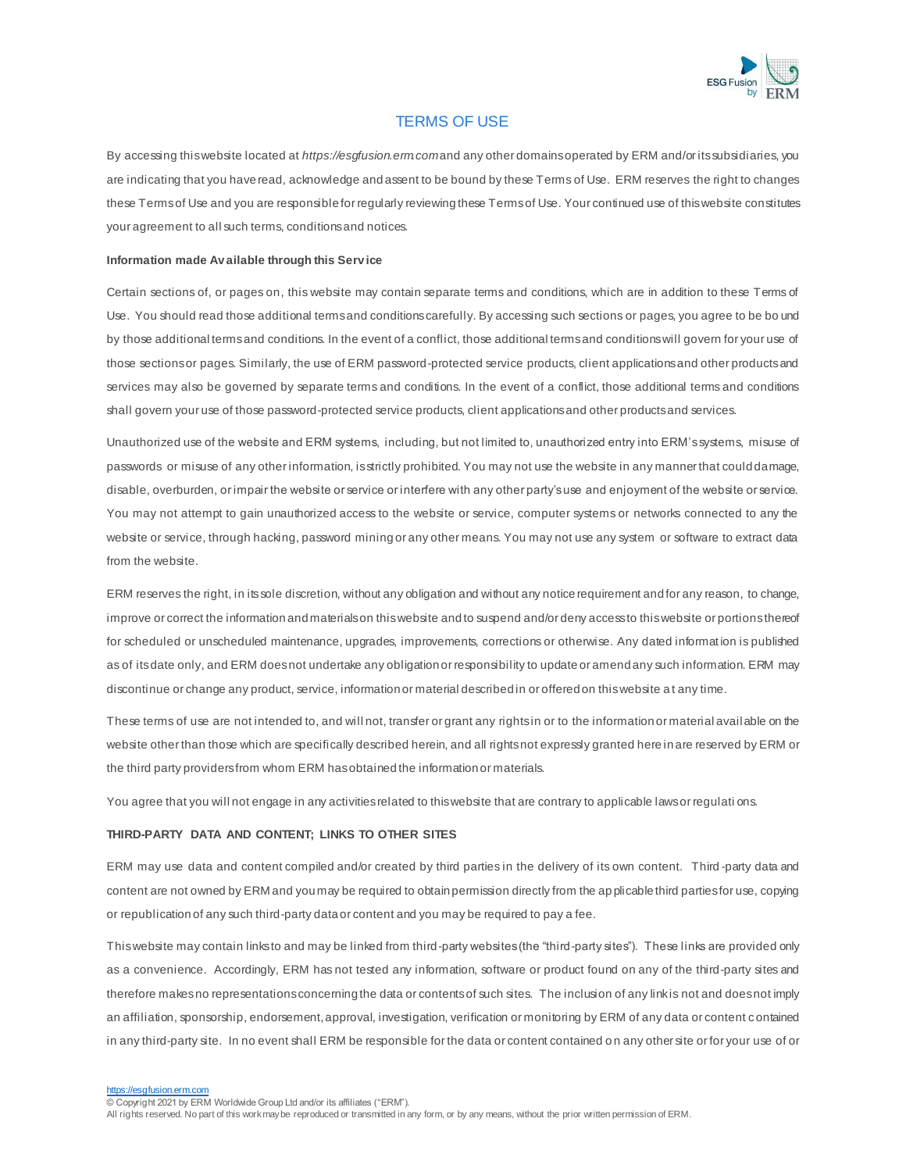

# TERMS OF USE

By accessing this website located at *https://esgfusion.erm.com*and any other domains operated by ERM and/or its subsidiaries, you are indicating that you have read, acknowledge and assent to be bound by these Terms of Use. ERM reserves the right to changes these Terms of Use and you are responsible for regularly reviewing these Terms of Use. Your continued use of this website constitutes your agreement to all such terms, conditions and notices.

#### **Information made Av ailable through this Serv ice**

Certain sections of, or pages on, this website may contain separate terms and conditions, which are in addition to these Terms of Use. You should read those additional terms and conditions carefully. By accessing such sections or pages, you agree to be bo und by those additional terms and conditions. In the event of a conflict, those additional terms and conditions will govern for your use of those sections or pages. Similarly, the use of ERM password-protected service products, client applications and other products and services may also be governed by separate terms and conditions. In the event of a conflict, those additional terms and conditions shall govern your use of those password-protected service products, client applications and other products and services.

Unauthorized use of the website and ERM systems, including, but not limited to, unauthorized entry into ERM'ssystems, misuse of passwords or misuse of any other information, is strictly prohibited. You may not use the website in any manner that could damage, disable, overburden, or impair the website or service or interfere with any other party's use and enjoyment of the website or service. You may not attempt to gain unauthorized access to the website or service, computer systems or networks connected to any the website or service, through hacking, password mining or any other means. You may not use any system or software to extract data from the website.

ERM reserves the right, in its sole discretion, without any obligation and without any notice requirement and for any reason, to change, improve or correct the information and materials on this website and to suspend and/or deny access to this website or portions thereof for scheduled or unscheduled maintenance, upgrades, improvements, corrections or otherwise. Any dated informat ion is published as of its date only, and ERM does not undertake any obligation or responsibility to update or amend any such information. ERM may discontinue or change any product, service, information or material described in or offered on this website a t any time.

These terms of use are not intended to, and will not, transfer or grant any rights in or to the information or material avail able on the website other than those which are specifically described herein, and all rights not expressly granted here in are reserved by ERM or the third party providers from whom ERM has obtained the information or materials.

You agree that you will not engage in any activities related to this website that are contrary to applicable laws or regulati ons.

## **THIRD-PARTY DATA AND CONTENT; LINKS TO OTHER SITES**

ERM may use data and content compiled and/or created by third parties in the delivery of its own content. Third -party data and content are not owned by ERM and you may be required to obtain permission directly from the ap plicable third parties for use, copying or republication of any such third-party data or content and you may be required to pay a fee.

This website may contain links to and may be linked from third-party websites (the "third-party sites"). These links are provided only as a convenience. Accordingly, ERM has not tested any information, software or product found on any of the third-party sites and therefore makes no representations concerning the data or contents of such sites. The inclusion of any link is not and does not imply an affiliation, sponsorship, endorsement, approval, investigation, verification or monitoring by ERM of any data or content c ontained in any third-party site. In no event shall ERM be responsible for the data or content contained o n any other site or for your use of or

[https://esgfusion.erm.com](https://esgfusion.erm.com/)

© Copyright 2021 by ERM Worldwide Group Ltd and/or its affiliates ("ERM").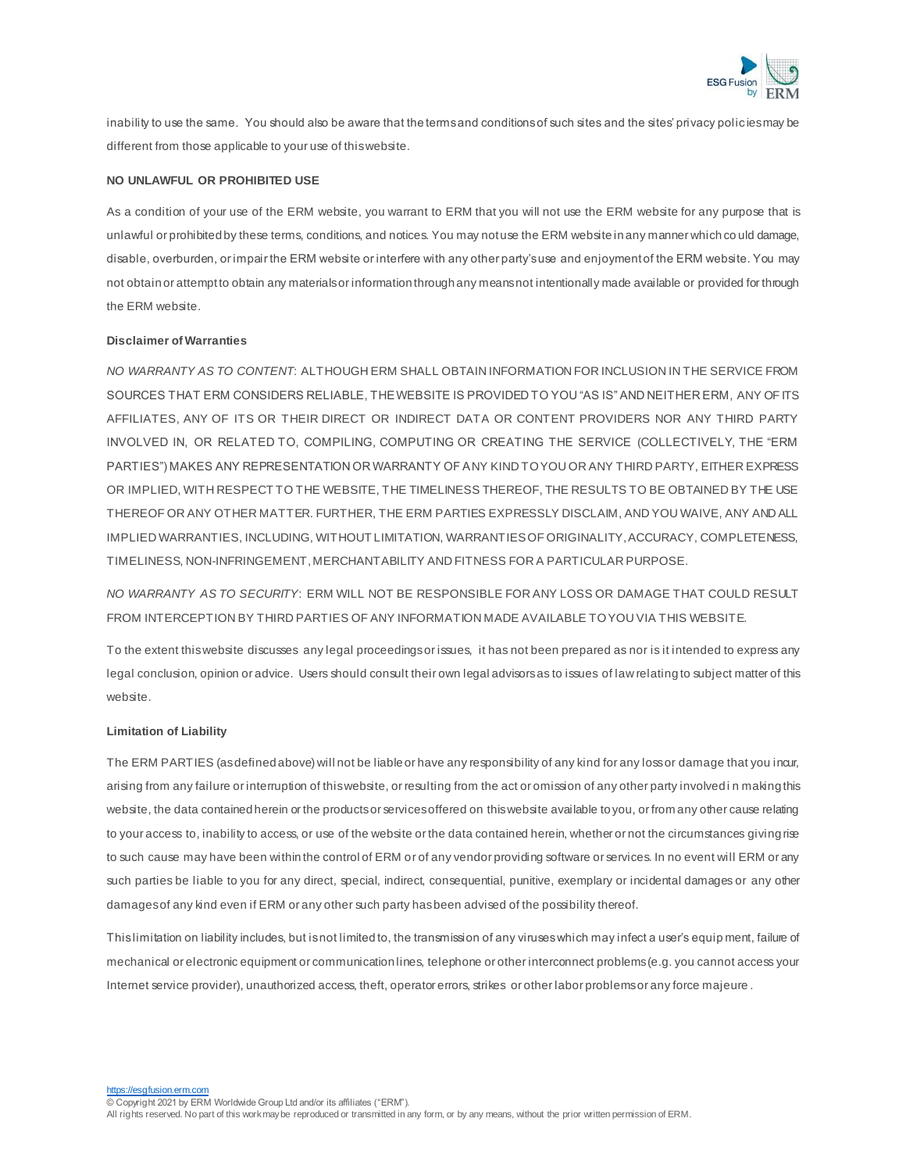

inability to use the same. You should also be aware that the terms and conditions of such sites and the sites' privacy policies may be different from those applicable to your use of this website.

## **NO UNLAWFUL OR PROHIBITED USE**

As a condition of your use of the ERM website, you warrant to ERM that you will not use the ERM website for any purpose that is unlawful or prohibited by these terms, conditions, and notices. You may not use the ERM website in any manner which co uld damage, disable, overburden, or impair the ERM website or interfere with any other party's use and enjoyment of the ERM website. You may not obtain or attempt to obtain any materials or information through any means not intentionally made available or provided for through the ERM website.

## **Disclaimer of Warranties**

*NO WARRANTY AS TO CONTENT*: ALTHOUGH ERM SHALL OBTAIN INFORMATION FOR INCLUSION IN THE SERVICE FROM SOURCES THAT ERM CONSIDERS RELIABLE, THE WEBSITE IS PROVIDED TO YOU "AS IS" AND NEITHER ERM, ANY OF ITS AFFILIATES, ANY OF ITS OR THEIR DIRECT OR INDIRECT DATA OR CONTENT PROVIDERS NOR ANY THIRD PARTY INVOLVED IN, OR RELATED TO, COMPILING, COMPUTING OR CREATING THE SERVICE (COLLECTIVELY, THE "ERM PARTIES") MAKES ANY REPRESENTATION OR WARRANTY OF ANY KIND TO YOU OR ANY THIRD PARTY, EITHER EXPRESS OR IMPLIED, WITH RESPECT TO THE WEBSITE, THE TIMELINESS THEREOF, THE RESULTS TO BE OBTAINED BY THE USE THEREOF OR ANY OTHER MATTER. FURTHER, THE ERM PARTIES EXPRESSLY DISCLAIM, AND YOU WAIVE, ANY AND ALL IMPLIED WARRANTIES, INCLUDING, WITHOUT LIMITATION, WARRANTIES OF ORIGINALITY, ACCURACY, COMPLETENESS, TIMELINESS, NON-INFRINGEMENT, MERCHANTABILITY AND FITNESS FOR A PARTICULAR PURPOSE.

*NO WARRANTY AS TO SECURITY*: ERM WILL NOT BE RESPONSIBLE FOR ANY LOSS OR DAMAGE THAT COULD RESULT FROM INTERCEPTION BY THIRD PARTIES OF ANY INFORMATION MADE AVAILABLE TO YOU VIA THIS WEBSITE.

To the extent thiswebsite discusses any legal proceedingsor issues, it has not been prepared as nor is it intended to express any legal conclusion, opinion or advice. Users should consult their own legal advisorsas to issues of law relating to subject matter of this website.

## **Limitation of Liability**

The ERM PARTIES (as defined above) will not be liable or have any responsibility of any kind for any loss or damage that you incur, arising from any failure or interruption of this website, or resulting from the act or omission of any other party involved i n making this website, the data contained herein or the products or services offered on this website available to you, or from any other cause relating to your access to, inability to access, or use of the website or the data contained herein, whether or not the circumstances giving rise to such cause may have been within the control of ERM or of any vendor providing software or services. In no event will ERM or any such parties be liable to you for any direct, special, indirect, consequential, punitive, exemplary or incidental damages or any other damages of any kind even if ERM or any other such party has been advised of the possibility thereof.

This limitation on liability includes, but is not limited to, the transmission of any viruses which may infect a user's equip ment, failure of mechanical or electronic equipment or communication lines, telephone or other interconnect problems (e.g. you cannot access your Internet service provider), unauthorized access, theft, operator errors, strikes or other labor problems or any force majeure .

[https://esgfusion.erm.com](https://esgfusion.erm.com/)

© Copyright 2021 by ERM Worldwide Group Ltd and/or its affiliates ("ERM").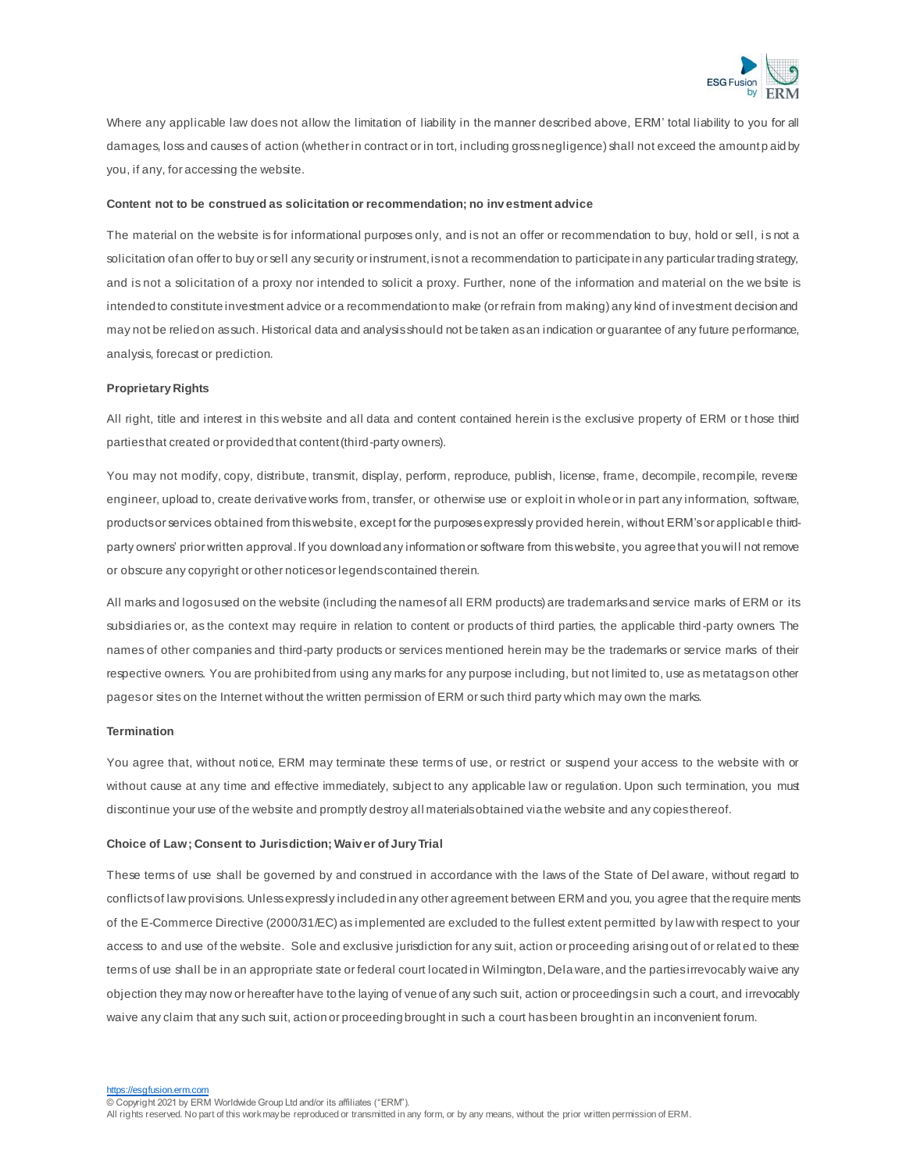

Where any applicable law does not allow the limitation of liability in the manner described above, ERM' total liability to you for all damages, loss and causes of action (whether in contract or in tort, including gross negligence) shall not exceed the amount p aid by you, if any, for accessing the website.

### **Content not to be construed as solicitation or recommendation; no inv estment advice**

The material on the website is for informational purposes only, and is not an offer or recommendation to buy, hold or sell, i s not a solicitation of an offer to buy or sell any security or instrument, is not a recommendation to participate in any particular trading strategy, and is not a solicitation of a proxy nor intended to solicit a proxy. Further, none of the information and material on the we bsite is intended to constitute investment advice or a recommendation to make (or refrain from making) any kind of investment decision and may not be relied on as such. Historical data and analysis should not be taken as an indication or guarantee of any future performance, analysis, forecast or prediction.

### **Proprietary Rights**

All right, title and interest in this website and all data and content contained herein is the exclusive property of ERM or t hose third parties that created or provided that content (third-party owners).

You may not modify, copy, distribute, transmit, display, perform, reproduce, publish, license, frame, decompile, recompile, reverse engineer, upload to, create derivative works from, transfer, or otherwise use or exploit in whole or in part any information, software, products or services obtained from this website, except for the purposes expressly provided herein, without ERM's or applicable thirdparty owners' prior written approval. If you download any information or software from this website, you agree that you will not remove or obscure any copyright or other notices or legends contained therein.

All marks and logos used on the website (including the names of all ERM products) are trademarks and service marks of ERM or its subsidiaries or, as the context may require in relation to content or products of third parties, the applicable third-party owners. The names of other companies and third-party products or services mentioned herein may be the trademarks or service marks of their respective owners. You are prohibited from using any marks for any purpose including, but not limited to, use as metatags on other pages or sites on the Internet without the written permission of ERM or such third party which may own the marks.

## **Termination**

You agree that, without notice, ERM may terminate these terms of use, or restrict or suspend your access to the website with or without cause at any time and effective immediately, subject to any applicable law or regulation. Upon such termination, you must discontinue your use of the website and promptly destroy all materials obtained via the website and any copies thereof.

#### **Choice of Law; Consent to Jurisdiction; Waiv er of JuryTrial**

These terms of use shall be governed by and construed in accordance with the laws of the State of Del aware, without regard to conflicts of law provisions. Unless expressly included in any other agreement between ERM and you, you agree that the require ments of the E-Commerce Directive (2000/31/EC) as implemented are excluded to the fullest extent permitted by law with respect to your access to and use of the website. Sole and exclusive jurisdiction for any suit, action or proceeding arising out of or relat ed to these terms of use shall be in an appropriate state or federal court located in Wilmington, Dela ware, and the parties irrevocably waive any objection they may now or hereafter have to the laying of venue of any such suit, action or proceedings in such a court, and irrevocably waive any claim that any such suit, action or proceeding brought in such a court has been brought in an inconvenient forum.

esgfusion.erm.com

© Copyright 2021 by ERM Worldwide Group Ltd and/or its affiliates ("ERM").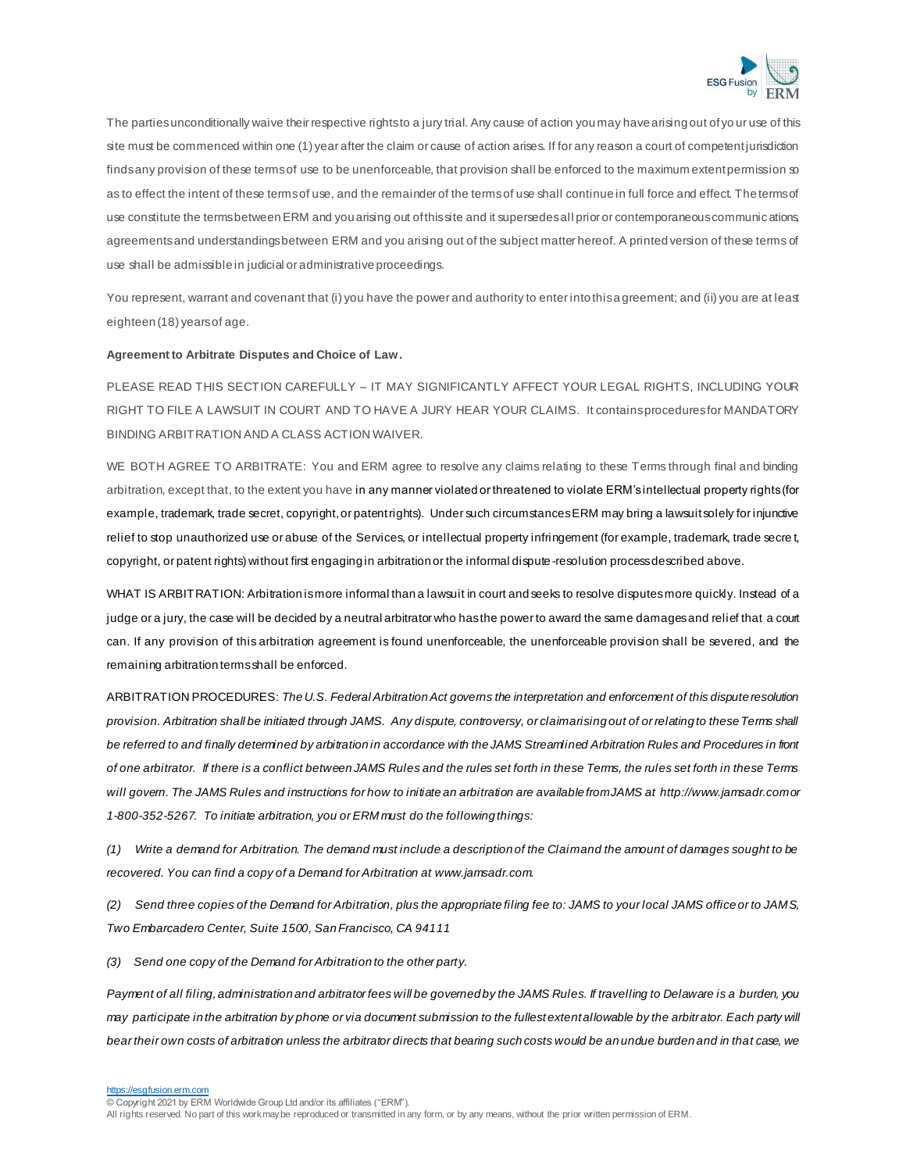

The parties unconditionally waive their respective rights to a jury trial. Any cause of action you may have arising out of yo ur use of this site must be commenced within one (1) year after the claim or cause of action arises. If for any reason a court of competent jurisdiction finds any provision of these terms of use to be unenforceable, that provision shall be enforced to the maximum extent permission so as to effect the intent of these terms of use, and the remainder of the terms of use shall continue in full force and effect. The terms of use constitute the terms between ERM and you arising out of this site and it supersedes all prior or contemporaneous communications, agreements and understandings between ERM and you arising out of the subject matter hereof. A printed version of these terms of use shall be admissible in judicial or administrative proceedings.

You represent, warrant and covenant that (i) you have the power and authority to enter into this a greement; and (ii) you are at least eighteen (18) years of age.

#### **Agreement to Arbitrate Disputes and Choice of Law.**

PLEASE READ THIS SECTION CAREFULLY – IT MAY SIGNIFICANTLY AFFECT YOUR LEGAL RIGHTS, INCLUDING YOUR RIGHT TO FILE A LAWSUIT IN COURT AND TO HAVE A JURY HEAR YOUR CLAIMS. It contains procedures for MANDATORY BINDING ARBITRATION AND A CLASS ACTION WAIVER.

WE BOTH AGREE TO ARBITRATE: You and ERM agree to resolve any claims relating to these Terms through final and binding arbitration, except that, to the extent you have in any manner violated or threatened to violate ERM's intellectual property rights (for example, trademark, trade secret, copyright, or patent rights). Under such circumstances ERM may bring a lawsuit solely for injunctive relief to stop unauthorized use or abuse of the Services, or intellectual property infringement (for example, trademark, trade secre t, copyright, or patent rights) without first engaging in arbitration or the informal dispute -resolution process described above.

WHAT IS ARBITRATION: Arbitration is more informal than a lawsuit in court and seeks to resolve disputes more quickly. Instead of a judge or a jury, the case will be decided by a neutral arbitrator who has the power to award the same damages and relief that a court can. If any provision of this arbitration agreement is found unenforceable, the unenforceable provision shall be severed, and the remaining arbitration terms shall be enforced.

ARBITRATION PROCEDURES: *The U.S. Federal Arbitration Act governs the interpretation and enforcement of this dispute resolution provision. Arbitration shall be initiated through JAMS. Any dispute, controversy, or claim arising out of or relating to these Terms shall be referred to and finally determined by arbitration in accordance with the JAMS Streamlined Arbitration Rules and Procedures in front of one arbitrator. If there is a conflict between JAMS Rules and the rules set forth in these Terms, the rules set forth in these Terms will govern. The JAMS Rules and instructions for how to initiate an arbitration are available from JAMS a[t http://www.jamsadr.com](http://www.jamsadr.com/)or 1-800-352-5267. To initiate arbitration, you or ERM must do the following things:*

*(1) Write a demand for Arbitration. The demand must include a description of the Claim and the amount of damages sought to be recovered. You can find a copy of a Demand for Arbitration [at www.jamsadr.com.](http://www.jamsadr.com/)* 

*(2) Send three copies of the Demand for Arbitration, plus the appropriate filing fee to: JAMS to your local JAMS office or to JAMS, Two Embarcadero Center, Suite 1500, San Francisco, CA 94111*

*(3) Send one copy of the Demand for Arbitration to the other party.*

*Payment of all filing, administration and arbitrator fees will be governed by the JAMS Rules. If travelling to Delaware is a burden, you may participate in the arbitration by phone or via document submission to the fullest extent allowable by the arbitrator. Each party will bear their own costs of arbitration unless the arbitrator directs that bearing such costs would be an undue burden and in that case, we* 

[https://esgfusion.erm.com](https://esgfusion.erm.com/)

© Copyright 2021 by ERM Worldwide Group Ltd and/or its affiliates ("ERM").